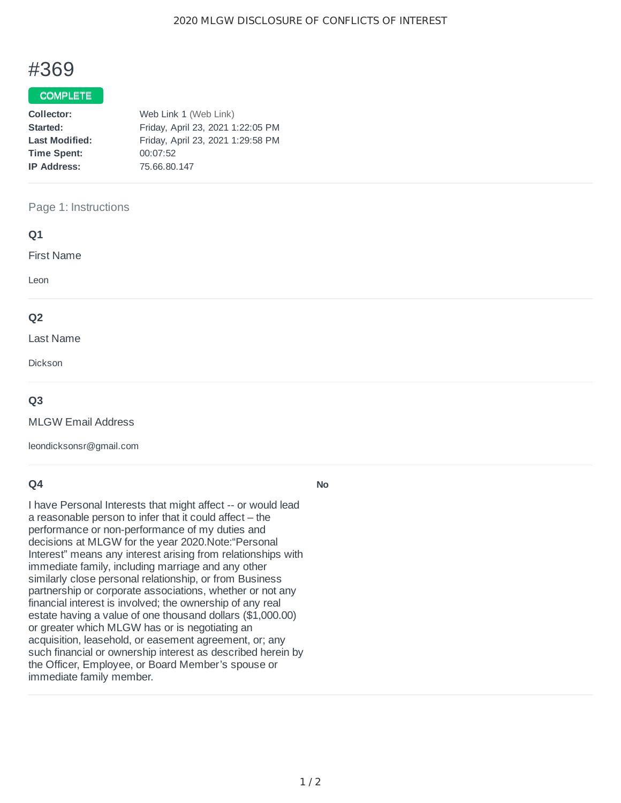# #369

# COMPLETE

| Collector:            | Web Link 1 (Web Link)             |  |  |
|-----------------------|-----------------------------------|--|--|
| Started:              | Friday, April 23, 2021 1:22:05 PM |  |  |
| <b>Last Modified:</b> | Friday, April 23, 2021 1:29:58 PM |  |  |
| <b>Time Spent:</b>    | 00:07:52                          |  |  |
| <b>IP Address:</b>    | 75.66.80.147                      |  |  |
|                       |                                   |  |  |

## Page 1: Instructions

| Q1                |  |  |
|-------------------|--|--|
| <b>First Name</b> |  |  |
| Leon              |  |  |
| Q <sub>2</sub>    |  |  |
| Last Name         |  |  |
| Dickson           |  |  |
| $\sim$ $\sim$     |  |  |

## **Q3**

MLGW Email Address

leondicksonsr@gmail.com

# **Q4**

I have Personal Interests that might affect -- or would lead a reasonable person to infer that it could affect – the performance or non-performance of my duties and decisions at MLGW for the year 2020.Note:"Personal Interest" means any interest arising from relationships with immediate family, including marriage and any other similarly close personal relationship, or from Business partnership or corporate associations, whether or not any financial interest is involved; the ownership of any real estate having a value of one thousand dollars (\$1,000.00) or greater which MLGW has or is negotiating an acquisition, leasehold, or easement agreement, or; any such financial or ownership interest as described herein by the Officer, Employee, or Board Member's spouse or immediate family member.

**No**